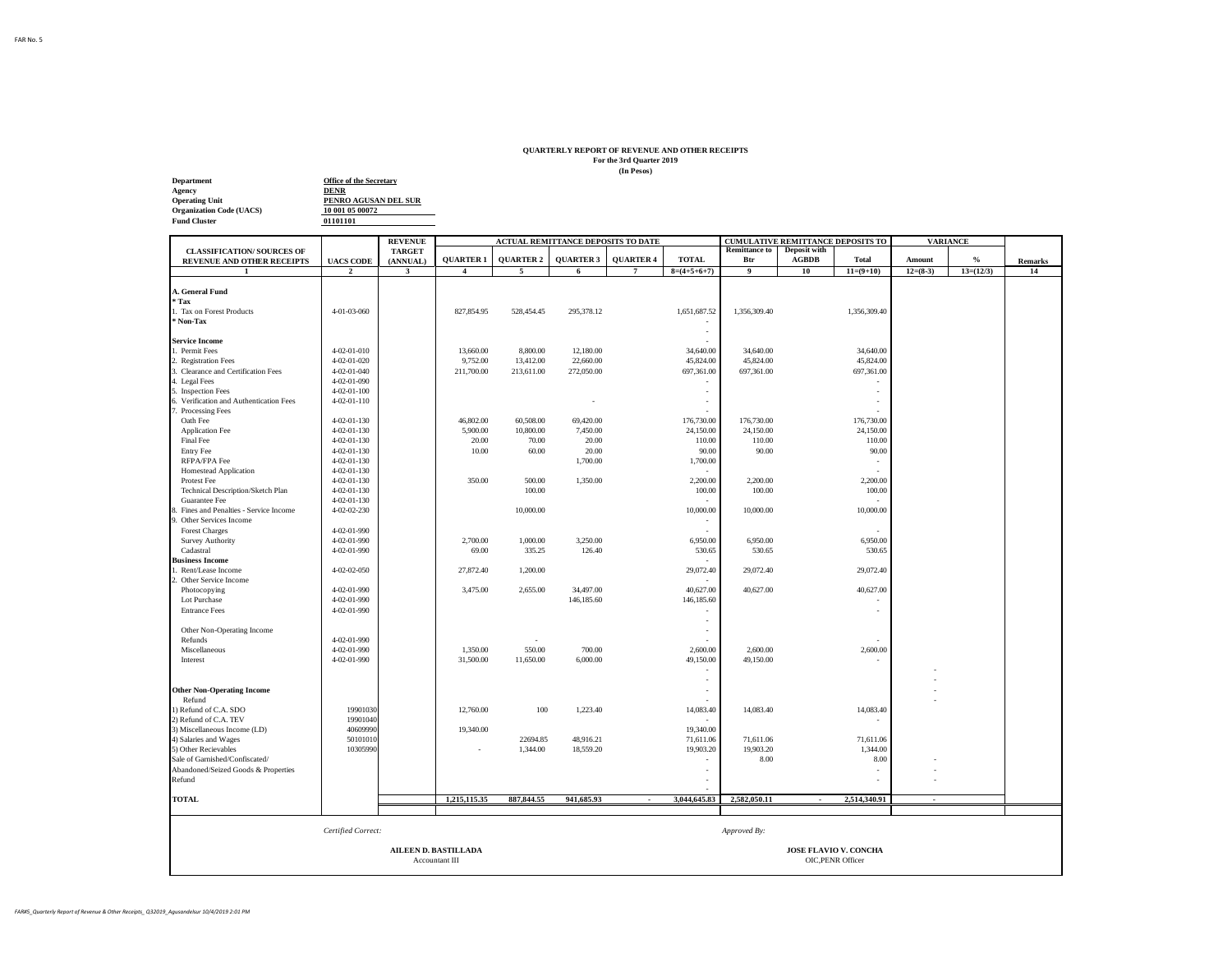## **QUARTERLY REPORT OF REVENUE AND OTHER RECEIPTS For the 3rd Quarter 2019 (In Pesos)**

| <b>Fund Cluster</b>                                | 01101101                           |                           |                                           |                  |                       |                  |               |                      |                                                   |                  |            |                 |         |
|----------------------------------------------------|------------------------------------|---------------------------|-------------------------------------------|------------------|-----------------------|------------------|---------------|----------------------|---------------------------------------------------|------------------|------------|-----------------|---------|
|                                                    |                                    |                           | <b>ACTUAL REMITTANCE DEPOSITS TO DATE</b> |                  |                       |                  |               |                      |                                                   |                  |            |                 |         |
| <b>CLASSIFICATION/ SOURCES OF</b>                  |                                    | <b>REVENUE</b>            |                                           |                  |                       |                  |               | <b>Remittance to</b> | CUMULATIVE REMITTANCE DEPOSITS TO<br>Deposit with |                  |            | <b>VARIANCE</b> |         |
| REVENUE AND OTHER RECEIPTS                         | <b>UACS CODE</b>                   | <b>TARGET</b><br>(ANNUAL) | <b>QUARTER 1</b>                          | <b>OUARTER 2</b> | <b>QUARTER 3</b>      | <b>OUARTER 4</b> | <b>TOTAL</b>  | Btr                  | <b>AGBDB</b>                                      | <b>Total</b>     | Amount     | $\frac{0}{0}$   | Remarks |
|                                                    | $\overline{2}$                     | $\overline{\mathbf{3}}$   | $\overline{A}$                            | 5                | 6                     | $\overline{7}$   | $8=(4+5+6+7)$ | $\boldsymbol{9}$     | 10                                                | $11=(9+10)$      | $12=(8-3)$ | $13=(12/3)$     | 14      |
|                                                    |                                    |                           |                                           |                  |                       |                  |               |                      |                                                   |                  |            |                 |         |
| A. General Fund                                    |                                    |                           |                                           |                  |                       |                  |               |                      |                                                   |                  |            |                 |         |
| * Tax                                              |                                    |                           |                                           |                  |                       |                  |               |                      |                                                   |                  |            |                 |         |
| 1. Tax on Forest Products                          | 4-01-03-060                        |                           | 827,854.95                                | 528,454.45       | 295,378.12            |                  | 1,651,687.52  | 1,356,309.40         |                                                   | 1,356,309.40     |            |                 |         |
| Non-Tax                                            |                                    |                           |                                           |                  |                       |                  |               |                      |                                                   |                  |            |                 |         |
|                                                    |                                    |                           |                                           |                  |                       |                  | i.            |                      |                                                   |                  |            |                 |         |
| <b>Service Income</b>                              |                                    |                           |                                           |                  |                       |                  |               |                      |                                                   |                  |            |                 |         |
| 1. Permit Fees                                     | 4-02-01-010                        |                           | 13,660.00                                 | 8,800.00         | 12,180.00             |                  | 34,640.00     | 34,640.00            |                                                   | 34,640.00        |            |                 |         |
| 2. Registration Fees                               | 4-02-01-020                        |                           | 9,752.00                                  | 13,412.00        | 22,660.00             |                  | 45,824.00     | 45,824.00            |                                                   | 45,824.00        |            |                 |         |
| 3. Clearance and Certification Fees                | 4-02-01-040                        |                           | 211,700.00                                | 213,611.00       | 272,050.00            |                  | 697,361.00    | 697,361.00           |                                                   | 697,361.00       |            |                 |         |
| 4. Legal Fees                                      | 4-02-01-090                        |                           |                                           |                  |                       |                  |               |                      |                                                   |                  |            |                 |         |
| 5. Inspection Fees                                 | $4 - 02 - 01 - 100$                |                           |                                           |                  |                       |                  | ٠             |                      |                                                   |                  |            |                 |         |
| 5. Verification and Authentication Fees            | 4-02-01-110                        |                           |                                           |                  |                       |                  |               |                      |                                                   |                  |            |                 |         |
| . Processing Fees                                  |                                    |                           |                                           |                  |                       |                  |               |                      |                                                   |                  |            |                 |         |
| Oath Fee                                           | 4-02-01-130                        |                           | 46,802.00                                 | 60,508.00        | 69,420.00             |                  | 176,730.00    | 176,730.00           |                                                   | 176,730.00       |            |                 |         |
| Application Fee                                    | 4-02-01-130                        |                           | 5,900.00                                  | 10,800.00        | 7,450.00              |                  | 24,150.00     | 24,150.00            |                                                   | 24,150.00        |            |                 |         |
| Final Fee                                          | 4-02-01-130                        |                           | 20.00                                     | 70.00            | 20.00                 |                  | 110.00        | 110.00               |                                                   | 110.00           |            |                 |         |
| <b>Entry Fee</b>                                   | 4-02-01-130                        |                           | 10.00                                     | 60.00            | 20.00                 |                  | 90.00         | 90.00                |                                                   | 90.00            |            |                 |         |
| RFPA/FPA Fee                                       | $4 - 02 - 01 - 130$<br>4-02-01-130 |                           |                                           |                  | 1,700.00              |                  | 1,700.00      |                      |                                                   |                  |            |                 |         |
| Homestead Application                              |                                    |                           | 350.00                                    | 500.00           |                       |                  | 2,200.00      | 2,200.00             |                                                   | 2,200.00         |            |                 |         |
| Protest Fee                                        | 4-02-01-130<br>4-02-01-130         |                           |                                           | 100.00           | 1,350.00              |                  | 100.00        | 100.00               |                                                   | 100.00           |            |                 |         |
| Technical Description/Sketch Plan<br>Guarantee Fee | 4-02-01-130                        |                           |                                           |                  |                       |                  |               |                      |                                                   |                  |            |                 |         |
| Fines and Penalties - Service Income               | 4-02-02-230                        |                           |                                           | 10,000.00        |                       |                  | 10,000.00     | 10,000,00            |                                                   | 10,000.00        |            |                 |         |
| Other Services Income                              |                                    |                           |                                           |                  |                       |                  |               |                      |                                                   |                  |            |                 |         |
| <b>Forest Charges</b>                              | 4-02-01-990                        |                           |                                           |                  |                       |                  |               |                      |                                                   |                  |            |                 |         |
| Survey Authority                                   | 4-02-01-990                        |                           | 2,700.00                                  | 1,000.00         | 3,250.00              |                  | 6,950.00      | 6,950.00             |                                                   | 6,950.00         |            |                 |         |
| Cadastral                                          | 4-02-01-990                        |                           | 69.00                                     | 335.25           | 126.40                |                  | 530.65        | 530.65               |                                                   | 530.65           |            |                 |         |
| <b>Business Income</b>                             |                                    |                           |                                           |                  |                       |                  |               |                      |                                                   |                  |            |                 |         |
| Rent/Lease Income                                  | $4 - 02 - 02 - 050$                |                           | 27,872.40                                 | 1,200.00         |                       |                  | 29,072.40     | 29,072.40            |                                                   | 29,072.40        |            |                 |         |
| Other Service Income                               |                                    |                           |                                           |                  |                       |                  |               |                      |                                                   |                  |            |                 |         |
| Photocopying                                       | 4-02-01-990                        |                           | 3,475.00                                  | 2,655.00         | 34,497.00             |                  | 40,627.00     | 40,627.00            |                                                   | 40,627.00        |            |                 |         |
| Lot Purchase                                       | 4-02-01-990                        |                           |                                           |                  | 146,185.60            |                  | 146,185.60    |                      |                                                   |                  |            |                 |         |
| <b>Entrance Fees</b>                               | 4-02-01-990                        |                           |                                           |                  |                       |                  |               |                      |                                                   |                  |            |                 |         |
|                                                    |                                    |                           |                                           |                  |                       |                  | ×.            |                      |                                                   |                  |            |                 |         |
| Other Non-Operating Income                         |                                    |                           |                                           |                  |                       |                  |               |                      |                                                   |                  |            |                 |         |
| Refunds                                            | 4-02-01-990                        |                           |                                           |                  |                       |                  |               |                      |                                                   |                  |            |                 |         |
| Miscellaneous                                      | 4-02-01-990                        |                           | 1,350.00                                  | 550.00           | 700.00                |                  | 2,600.00      | 2,600.00             |                                                   | 2,600.00         |            |                 |         |
| Interest                                           | 4-02-01-990                        |                           | 31,500.00                                 | 11,650.00        | 6,000.00              |                  | 49,150.00     | 49,150.00            |                                                   |                  |            |                 |         |
|                                                    |                                    |                           |                                           |                  |                       |                  |               |                      |                                                   |                  |            |                 |         |
|                                                    |                                    |                           |                                           |                  |                       |                  |               |                      |                                                   |                  |            |                 |         |
| <b>Other Non-Operating Income</b>                  |                                    |                           |                                           |                  |                       |                  |               |                      |                                                   |                  |            |                 |         |
| Refund<br>1) Refund of C.A. SDO                    | 19901030                           |                           | 12,760.00                                 | 100              | 1,223.40              |                  | 14,083.40     | 14,083.40            |                                                   | 14,083.40        |            |                 |         |
| 2) Refund of C.A. TEV                              | 19901040                           |                           |                                           |                  |                       |                  |               |                      |                                                   |                  |            |                 |         |
| 3) Miscellaneous Income (LD)                       | 40609990                           |                           | 19,340.00                                 |                  |                       |                  | 19,340.00     |                      |                                                   |                  |            |                 |         |
| 4) Salaries and Wages                              | 50101010                           |                           |                                           | 22694.85         | 48,916.21             |                  | 71,611.06     | 71,611.06            |                                                   | 71,611.06        |            |                 |         |
| 5) Other Recievables                               | 10305990                           |                           |                                           | 1,344.00         | 18,559.20             |                  | 19,903.20     | 19,903.20            |                                                   | 1,344.00         |            |                 |         |
| Sale of Garnished/Confiscated/                     |                                    |                           |                                           |                  |                       |                  |               | 8.00                 |                                                   | 8.00             |            |                 |         |
| Abandoned/Seized Goods & Properties                |                                    |                           |                                           |                  |                       |                  |               |                      |                                                   |                  |            |                 |         |
| Refund                                             |                                    |                           |                                           |                  |                       |                  |               |                      |                                                   |                  |            |                 |         |
|                                                    |                                    |                           |                                           |                  |                       |                  |               |                      |                                                   |                  |            |                 |         |
| <b>TOTAL</b>                                       |                                    |                           | 1,215,115.35                              | 887, 844.55      | 941,685.93            |                  | 3,044,645.83  | 2,582,050.11         | ×                                                 | 2,514,340.91     | ÷.         |                 |         |
|                                                    |                                    |                           |                                           |                  |                       |                  |               |                      |                                                   |                  |            |                 |         |
|                                                    |                                    |                           |                                           |                  |                       |                  |               |                      |                                                   |                  |            |                 |         |
|                                                    |                                    |                           | Approved By:                              |                  |                       |                  |               |                      |                                                   |                  |            |                 |         |
| AILEEN D. BASTILLADA                               |                                    |                           |                                           |                  |                       |                  |               |                      |                                                   |                  |            |                 |         |
|                                                    |                                    |                           |                                           |                  | JOSE FLAVIO V. CONCHA |                  |               |                      |                                                   |                  |            |                 |         |
|                                                    |                                    |                           | Accountant III                            |                  |                       |                  |               |                      |                                                   | OIC.PENR Officer |            |                 |         |
|                                                    |                                    |                           |                                           |                  |                       |                  |               |                      |                                                   |                  |            |                 |         |

**Department Office of the Secretary Agency DENR Operating Unit**

**PENRO AGUSAN DEL SUR 10 001 05 00072**

**Organization Code (UACS)**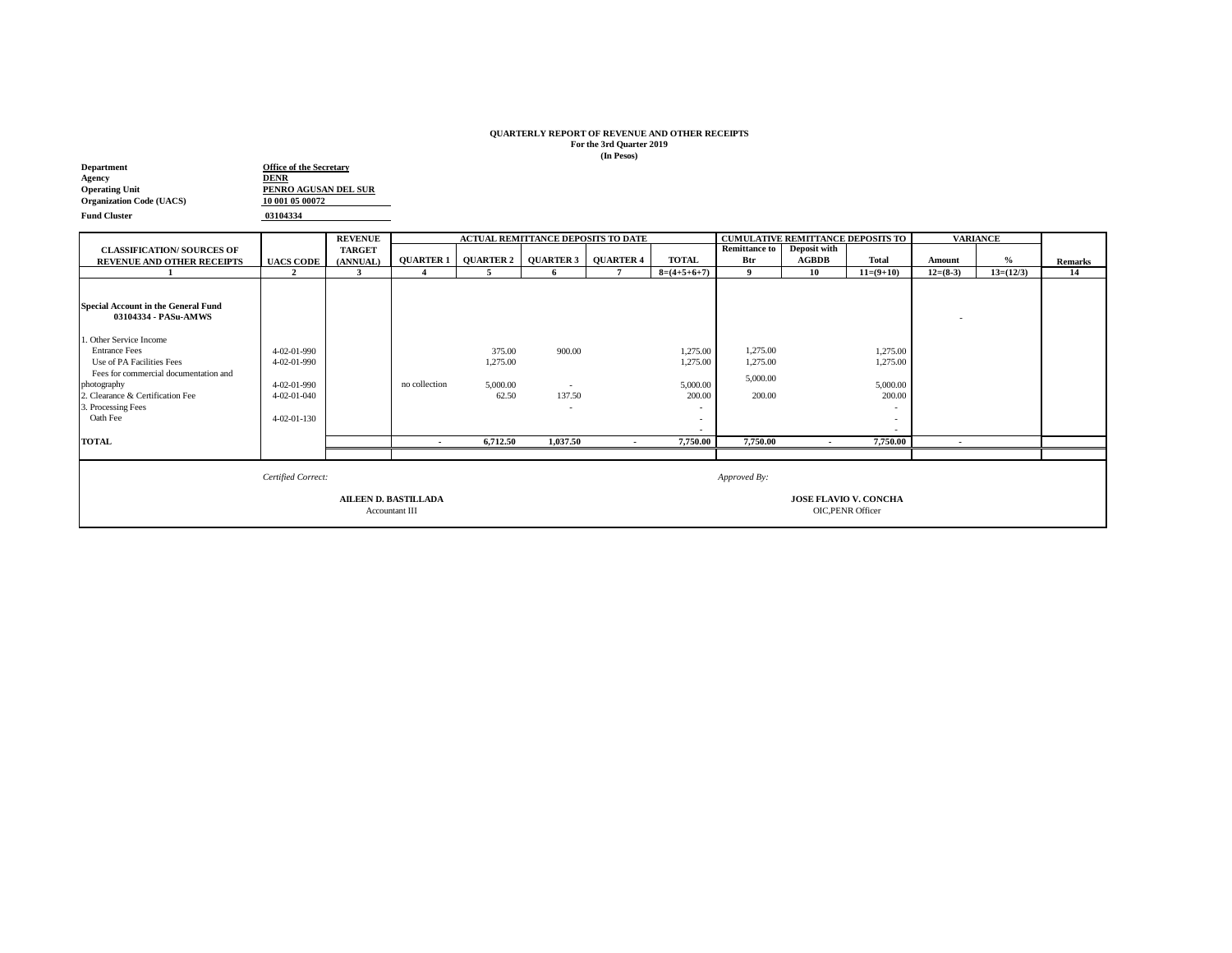## **QUARTERLY REPORT OF REVENUE AND OTHER RECEIPTS For the 3rd Quarter 2019 (In Pesos)**

| <b>Department</b>               | <b>Office of the Secretary</b> |
|---------------------------------|--------------------------------|
| Agency                          | <b>DENR</b>                    |
| <b>Operating Unit</b>           | PENRO AGUSAN DEL SUR           |
| <b>Organization Code (UACS)</b> | 10 001 05 00072                |
| <b>Fund Cluster</b>             | 03104334                       |

|                                                                    |                  | <b>REVENUE</b> | <b>ACTUAL REMITTANCE DEPOSITS TO DATE</b> |                  |                  |                  |                                                         |                      | <b>CUMULATIVE REMITTANCE DEPOSITS TO</b> |                          | <b>VARIANCE</b>          |               |                |  |
|--------------------------------------------------------------------|------------------|----------------|-------------------------------------------|------------------|------------------|------------------|---------------------------------------------------------|----------------------|------------------------------------------|--------------------------|--------------------------|---------------|----------------|--|
| <b>CLASSIFICATION/ SOURCES OF</b>                                  |                  | <b>TARGET</b>  |                                           |                  |                  |                  |                                                         | <b>Remittance to</b> | Deposit with                             |                          |                          |               |                |  |
| <b>REVENUE AND OTHER RECEIPTS</b>                                  | <b>UACS CODE</b> | (ANNUAL)       | <b>QUARTER 1</b>                          | <b>QUARTER 2</b> | <b>QUARTER 3</b> | <b>QUARTER 4</b> | <b>TOTAL</b>                                            | Btr                  | <b>AGBDB</b>                             | <b>Total</b>             | Amount                   | $\frac{0}{0}$ | <b>Remarks</b> |  |
|                                                                    | $\sim$           | 3              |                                           |                  |                  |                  | $8=(4+5+6+7)$                                           | $\mathbf{Q}$         | 10                                       | $11=(9+10)$              | $12=(8-3)$               | $13=(12/3)$   | 14             |  |
|                                                                    |                  |                |                                           |                  |                  |                  |                                                         |                      |                                          |                          |                          |               |                |  |
| <b>Special Account in the General Fund</b><br>03104334 - PASu-AMWS |                  |                |                                           |                  |                  |                  |                                                         |                      |                                          |                          |                          |               |                |  |
| 1. Other Service Income                                            |                  |                |                                           |                  |                  |                  |                                                         |                      |                                          |                          |                          |               |                |  |
| <b>Entrance Fees</b>                                               | 4-02-01-990      |                |                                           | 375.00           | 900.00           |                  | 1,275.00                                                | 1,275.00             |                                          | 1,275.00                 |                          |               |                |  |
| Use of PA Facilities Fees                                          | 4-02-01-990      |                |                                           | 1,275.00         |                  |                  | 1,275.00                                                | 1,275.00             |                                          | 1,275.00                 |                          |               |                |  |
| Fees for commercial documentation and                              |                  |                |                                           |                  |                  |                  |                                                         | 5,000.00             |                                          |                          |                          |               |                |  |
| photography                                                        | 4-02-01-990      |                | no collection                             | 5,000.00         | $\sim$           |                  | 5,000.00                                                |                      |                                          | 5,000.00                 |                          |               |                |  |
| 2. Clearance & Certification Fee                                   | 4-02-01-040      |                |                                           | 62.50            | 137.50           |                  | 200.00                                                  | 200.00               |                                          | 200.00                   |                          |               |                |  |
| 3. Processing Fees                                                 |                  |                |                                           |                  |                  |                  |                                                         |                      |                                          |                          |                          |               |                |  |
| Oath Fee                                                           | 4-02-01-130      |                |                                           |                  |                  |                  |                                                         |                      |                                          | $\overline{\phantom{a}}$ |                          |               |                |  |
|                                                                    |                  |                |                                           |                  |                  |                  | $\sim$                                                  |                      |                                          | $\sim$                   |                          |               |                |  |
| <b>TOTAL</b>                                                       |                  |                | $\overline{\phantom{a}}$                  | 6,712.50         | 1,037.50         | $\cdot$          | 7,750.00                                                | 7,750.00             | $\overline{\phantom{a}}$                 | 7,750.00                 | $\overline{\phantom{a}}$ |               |                |  |
|                                                                    |                  |                |                                           |                  |                  |                  |                                                         |                      |                                          |                          |                          |               |                |  |
| Certified Correct:                                                 |                  |                |                                           |                  |                  |                  | Approved By:                                            |                      |                                          |                          |                          |               |                |  |
| <b>AILEEN D. BASTILLADA</b><br>Accountant III                      |                  |                |                                           |                  |                  |                  | <b>JOSE FLAVIO V. CONCHA</b><br><b>OIC.PENR Officer</b> |                      |                                          |                          |                          |               |                |  |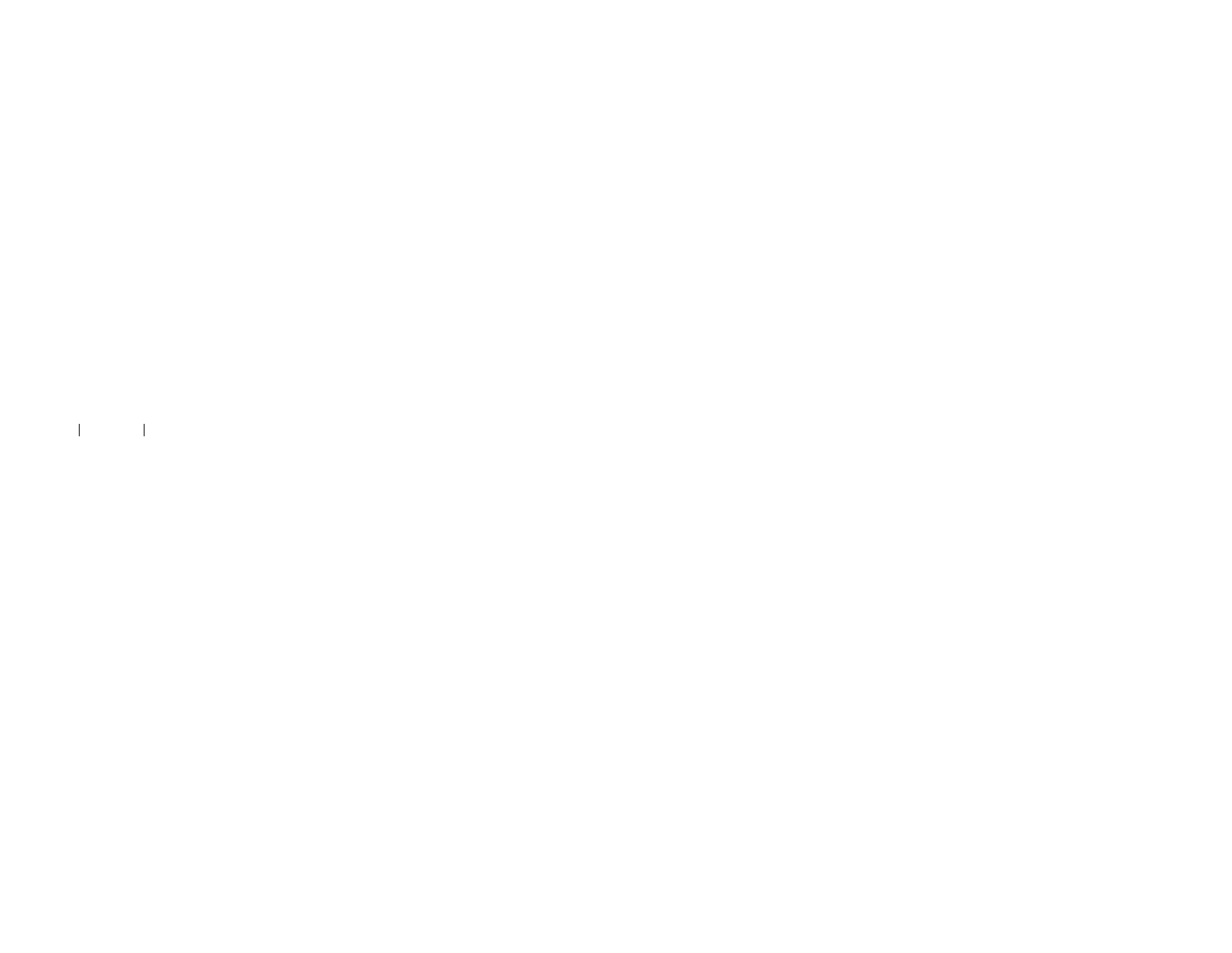$\Gamma_{\rm c} \sim 10^5$